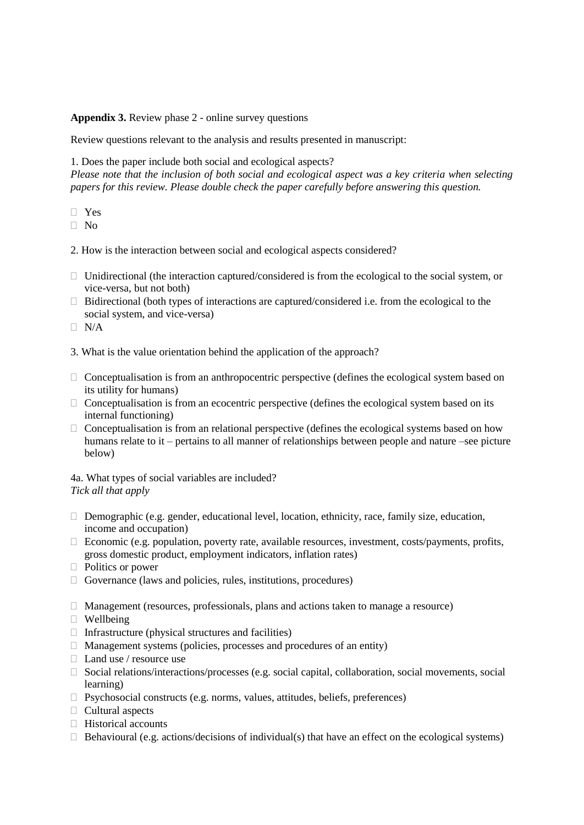**Appendix 3.** Review phase 2 - online survey questions

Review questions relevant to the analysis and results presented in manuscript:

1. Does the paper include both social and ecological aspects?

*Please note that the inclusion of both social and ecological aspect was a key criteria when selecting papers for this review. Please double check the paper carefully before answering this question.*

Yes

 $\Box$  No

2. How is the interaction between social and ecological aspects considered?

- $\Box$  Unidirectional (the interaction captured/considered is from the ecological to the social system, or vice-versa, but not both)
- $\Box$  Bidirectional (both types of interactions are captured/considered i.e. from the ecological to the social system, and vice-versa)

 $\neg$  N/A

- 3. What is the value orientation behind the application of the approach?
- $\Box$  Conceptualisation is from an anthropocentric perspective (defines the ecological system based on its utility for humans)
- $\Box$  Conceptualisation is from an ecocentric perspective (defines the ecological system based on its internal functioning)
- $\Box$  Conceptualisation is from an relational perspective (defines the ecological systems based on how humans relate to it – pertains to all manner of relationships between people and nature –see picture below)

4a. What types of social variables are included? *Tick all that apply*

- $\Box$  Demographic (e.g. gender, educational level, location, ethnicity, race, family size, education, income and occupation)
- $\Box$  Economic (e.g. population, poverty rate, available resources, investment, costs/payments, profits, gross domestic product, employment indicators, inflation rates)
- $\Box$  Politics or power
- $\Box$  Governance (laws and policies, rules, institutions, procedures)
- $\Box$  Management (resources, professionals, plans and actions taken to manage a resource)
- $\Box$  Wellbeing
- $\Box$  Infrastructure (physical structures and facilities)
- $\Box$  Management systems (policies, processes and procedures of an entity)
- □ Land use / resource use
- □ Social relations/interactions/processes (e.g. social capital, collaboration, social movements, social learning)
- $\Box$  Psychosocial constructs (e.g. norms, values, attitudes, beliefs, preferences)
- $\Box$  Cultural aspects
- $\Box$  Historical accounts
- $\Box$  Behavioural (e.g. actions/decisions of individual(s) that have an effect on the ecological systems)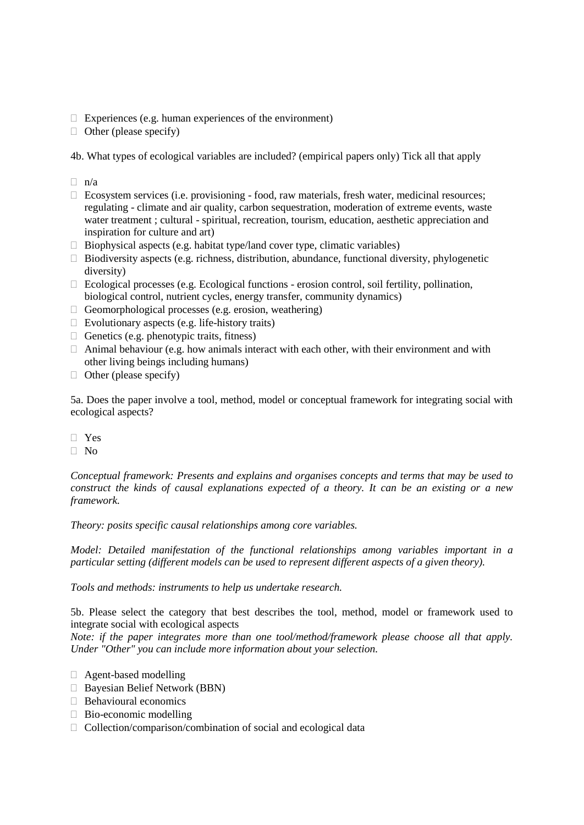$\Box$  Experiences (e.g. human experiences of the environment)

 $\Box$  Other (please specify)

4b. What types of ecological variables are included? (empirical papers only) Tick all that apply

- $\Box$  n/a
- $\Box$  Ecosystem services (i.e. provisioning food, raw materials, fresh water, medicinal resources; regulating - climate and air quality, carbon sequestration, moderation of extreme events, waste water treatment ; cultural - spiritual, recreation, tourism, education, aesthetic appreciation and inspiration for culture and art)
- $\Box$  Biophysical aspects (e.g. habitat type/land cover type, climatic variables)
- $\Box$  Biodiversity aspects (e.g. richness, distribution, abundance, functional diversity, phylogenetic diversity)
- $\Box$  Ecological processes (e.g. Ecological functions erosion control, soil fertility, pollination, biological control, nutrient cycles, energy transfer, community dynamics)
- $\Box$  Geomorphological processes (e.g. erosion, weathering)
- $\Box$  Evolutionary aspects (e.g. life-history traits)
- $\Box$  Genetics (e.g. phenotypic traits, fitness)
- $\Box$  Animal behaviour (e.g. how animals interact with each other, with their environment and with other living beings including humans)
- $\Box$  Other (please specify)

5a. Does the paper involve a tool, method, model or conceptual framework for integrating social with ecological aspects?

- Yes
- $\Box$  No

*Conceptual framework: Presents and explains and organises concepts and terms that may be used to construct the kinds of causal explanations expected of a theory. It can be an existing or a new framework.*

*Theory: posits specific causal relationships among core variables.*

*Model: Detailed manifestation of the functional relationships among variables important in a particular setting (different models can be used to represent different aspects of a given theory).*

*Tools and methods: instruments to help us undertake research.*

5b. Please select the category that best describes the tool, method, model or framework used to integrate social with ecological aspects

*Note: if the paper integrates more than one tool/method/framework please choose all that apply. Under "Other" you can include more information about your selection.*

- Agent-based modelling
- Bayesian Belief Network (BBN)
- **Behavioural economics**
- $\Box$  Bio-economic modelling
- $\Box$  Collection/comparison/combination of social and ecological data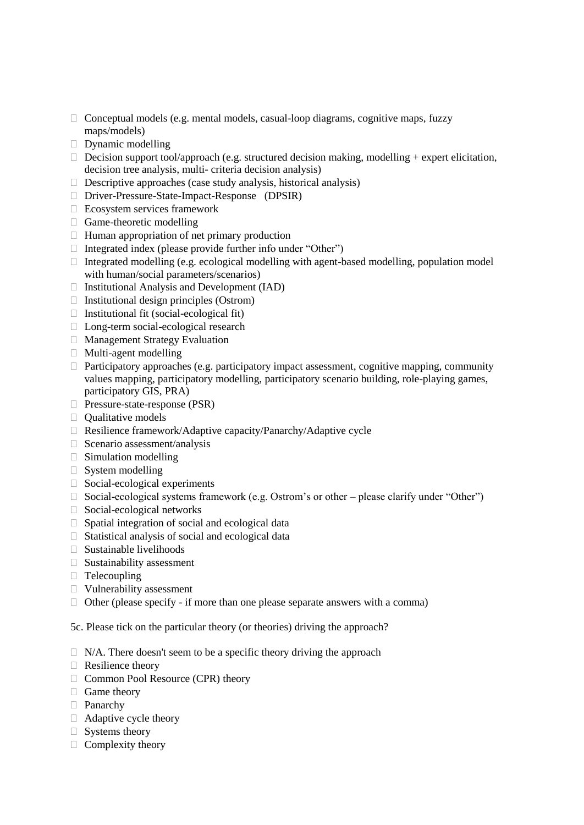- $\Box$  Conceptual models (e.g. mental models, casual-loop diagrams, cognitive maps, fuzzy maps/models)
- $\Box$  Dynamic modelling
- $\Box$  Decision support tool/approach (e.g. structured decision making, modelling + expert elicitation, decision tree analysis, multi- criteria decision analysis)
- $\Box$  Descriptive approaches (case study analysis, historical analysis)
- Driver-Pressure-State-Impact-Response (DPSIR)
- Ecosystem services framework
- Game-theoretic modelling
- $\Box$  Human appropriation of net primary production
- $\Box$  Integrated index (please provide further info under "Other")
- $\Box$  Integrated modelling (e.g. ecological modelling with agent-based modelling, population model with human/social parameters/scenarios)
- $\Box$  Institutional Analysis and Development (IAD)
- $\Box$  Institutional design principles (Ostrom)
- $\Box$  Institutional fit (social-ecological fit)
- □ Long-term social-ecological research
- Management Strategy Evaluation
- $\Box$  Multi-agent modelling
- $\Box$  Participatory approaches (e.g. participatory impact assessment, cognitive mapping, community values mapping, participatory modelling, participatory scenario building, role-playing games, participatory GIS, PRA)
- □ Pressure-state-response (PSR)
- $\Box$  Oualitative models
- □ Resilience framework/Adaptive capacity/Panarchy/Adaptive cycle
- $\Box$  Scenario assessment/analysis
- $\Box$  Simulation modelling
- $\Box$  System modelling
- $\Box$  Social-ecological experiments
- $\Box$  Social-ecological systems framework (e.g. Ostrom's or other please clarify under "Other")
- $\Box$  Social-ecological networks
- $\Box$  Spatial integration of social and ecological data
- $\Box$  Statistical analysis of social and ecological data
- $\Box$  Sustainable livelihoods
- $\Box$  Sustainability assessment
- $\Box$  Telecoupling
- Vulnerability assessment
- $\Box$  Other (please specify if more than one please separate answers with a comma)

5c. Please tick on the particular theory (or theories) driving the approach?

- $\Box$  N/A. There doesn't seem to be a specific theory driving the approach
- $\Box$  Resilience theory
- □ Common Pool Resource (CPR) theory
- $\Box$  Game theory
- □ Panarchy
- Adaptive cycle theory
- $\Box$  Systems theory
- $\Box$  Complexity theory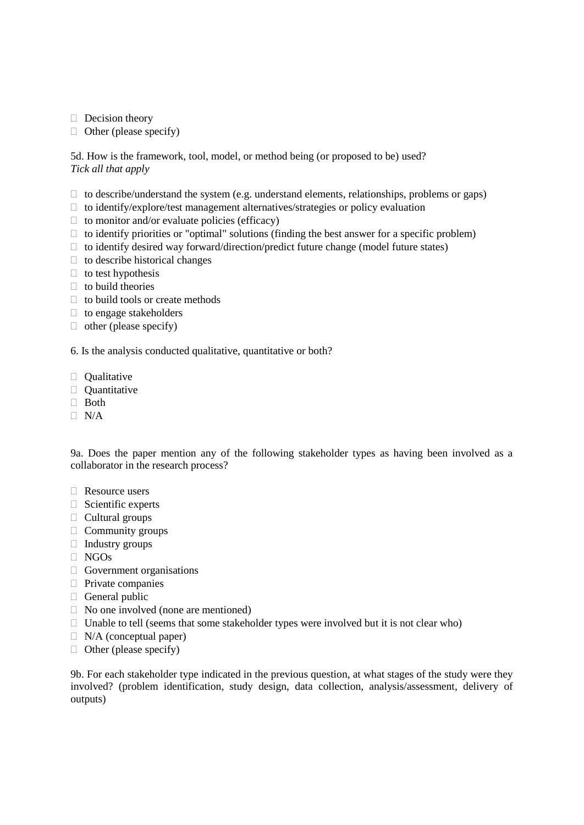$\Box$  Decision theory

 $\Box$  Other (please specify)

5d. How is the framework, tool, model, or method being (or proposed to be) used? *Tick all that apply*

- $\Box$  to describe/understand the system (e.g. understand elements, relationships, problems or gaps)
- $\Box$  to identify/explore/test management alternatives/strategies or policy evaluation
- $\Box$  to monitor and/or evaluate policies (efficacy)
- $\Box$  to identify priorities or "optimal" solutions (finding the best answer for a specific problem)
- $\Box$  to identify desired way forward/direction/predict future change (model future states)
- $\Box$  to describe historical changes
- $\Box$  to test hypothesis
- $\Box$  to build theories
- $\Box$  to build tools or create methods
- $\Box$  to engage stakeholders
- $\Box$  other (please specify)

6. Is the analysis conducted qualitative, quantitative or both?

- $\Box$  Oualitative
- **Quantitative**
- □ Both
- $\neg$  N/A

9a. Does the paper mention any of the following stakeholder types as having been involved as a collaborator in the research process?

- □ Resource users
- $\Box$  Scientific experts
- $\Box$  Cultural groups
- $\Box$  Community groups
- $\Box$  Industry groups
- $\Box$  NGOs
- $\Box$  Government organisations
- $\Box$  Private companies
- $\Box$  General public
- $\Box$  No one involved (none are mentioned)
- $\Box$  Unable to tell (seems that some stakeholder types were involved but it is not clear who)
- $\Box$  N/A (conceptual paper)
- $\Box$  Other (please specify)

9b. For each stakeholder type indicated in the previous question, at what stages of the study were they involved? (problem identification, study design, data collection, analysis/assessment, delivery of outputs)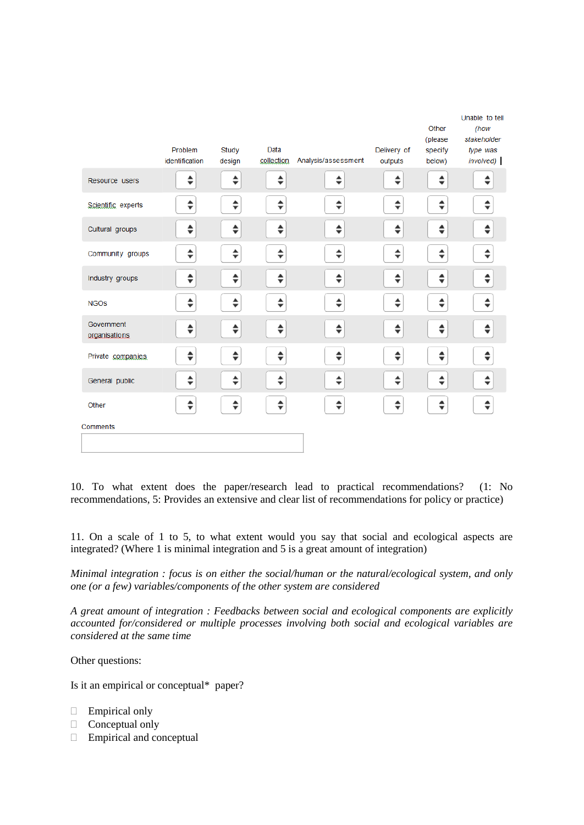|                             |                |        |            |                     |             | Other              | Unable to tell<br>(how        |
|-----------------------------|----------------|--------|------------|---------------------|-------------|--------------------|-------------------------------|
|                             | Problem        | Study  | Data       |                     | Delivery of | (please<br>specify | stakeholder<br>type was       |
|                             | identification | design | collection | Analysis/assessment | outputs     | below)             | involved)                     |
| Resource users              | ♦              | $\div$ | $\div$     | ♦                   | ÷           | ♦                  | ▲<br>$\overline{\phantom{a}}$ |
| Scientific experts          | ♦              | $\div$ | ♦          | $\div$              | ♦           | $\div$             | ♦                             |
| Cultural groups             | $\div$         | $\div$ | ♦          | $\div$              | ♦           | ♦                  | ▲<br>$\overline{\phantom{a}}$ |
| Community groups            | $\div$         | ♦      | $\div$     | $\div$              | ÷           | $\div$             | $\div$                        |
| Industry groups             | $\div$         | $\div$ | $\div$     | $\div$              | ♦           | $\div$             | $\div$                        |
| <b>NGOS</b>                 | $\div$         | $\div$ | ♦          | $\div$              | ♦           | $\div$             | ▲<br>$\overline{\phantom{a}}$ |
| Government<br>organisations | $\div$         | $\div$ | ♦          | ♦                   | ♦           | $\div$             | $\div$                        |
| Private companies           | $\div$         | $\div$ | $\div$     | $\div$              | ♦           | $\div$             | $\div$                        |
| General public              | $\div$         | $\div$ | $\div$     | $\div$              | ♦           | $\div$             | $\div$                        |
| Other                       | $\div$         | $\div$ | ♦          | $\div$              | ♦           | $\div$             | ♦                             |
| Comments                    |                |        |            |                     |             |                    |                               |
|                             |                |        |            |                     |             |                    |                               |

10. To what extent does the paper/research lead to practical recommendations? (1: No recommendations, 5: Provides an extensive and clear list of recommendations for policy or practice)

11. On a scale of 1 to 5, to what extent would you say that social and ecological aspects are integrated? (Where 1 is minimal integration and 5 is a great amount of integration)

*Minimal integration : focus is on either the social/human or the natural/ecological system, and only one (or a few) variables/components of the other system are considered*

*A great amount of integration : Feedbacks between social and ecological components are explicitly accounted for/considered or multiple processes involving both social and ecological variables are considered at the same time*

Other questions:

Is it an empirical or conceptual\* paper?

- Empirical only
- $\Box$  Conceptual only
- $\Box$  Empirical and conceptual